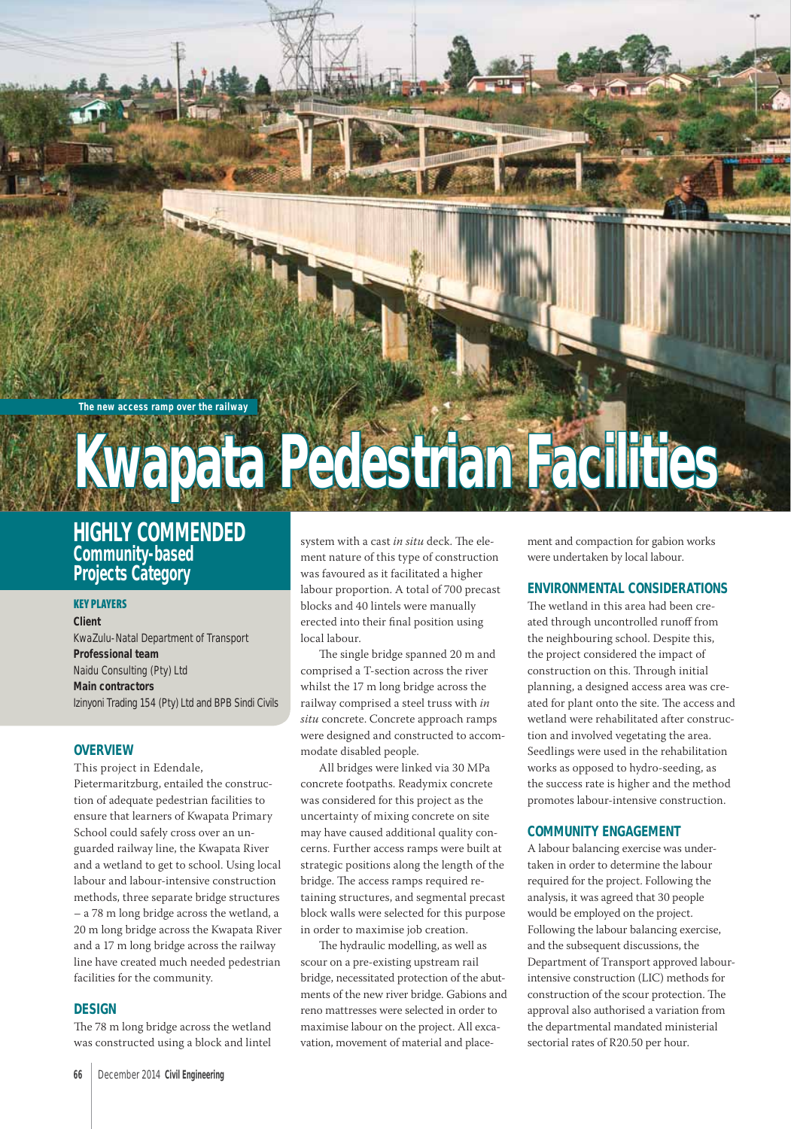#### **The new access ramp over the railway**

# **Kwapata Pedestrian Facilities wapata**

# **HIGHLY COMMENDED Community-based Projects Category**

#### **KEY PLAYERS**

**Client**  KwaZulu-Natal Department of Transport **Professional team**  Naidu Consulting (Pty) Ltd **Main contractors**  Izinyoni Trading 154 (Pty) Ltd and BPB Sindi Civils

#### **OVERVIEW**

This project in Edendale, Pietermaritzburg, entailed the construction of adequate pedestrian facilities to ensure that learners of Kwapata Primary School could safely cross over an unguarded railway line, the Kwapata River and a wetland to get to school. Using local labour and labour-intensive construction methods, three separate bridge structures – a 78 m long bridge across the wetland, a 20 m long bridge across the Kwapata River and a 17 m long bridge across the railway line have created much needed pedestrian facilities for the community.

#### **DESIGN**

The 78 m long bridge across the wetland was constructed using a block and lintel

system with a cast in situ deck. The element nature of this type of construction was favoured as it facilitated a higher labour proportion. A total of 700 precast blocks and 40 lintels were manually erected into their final position using local labour.

The single bridge spanned 20 m and comprised a T-section across the river whilst the 17 m long bridge across the railway comprised a steel truss with *in situ* concrete. Concrete approach ramps were designed and constructed to accommodate disabled people.

All bridges were linked via 30 MPa concrete footpaths. Readymix concrete was considered for this project as the uncertainty of mixing concrete on site may have caused additional quality concerns. Further access ramps were built at strategic positions along the length of the bridge. The access ramps required retaining structures, and segmental precast block walls were selected for this purpose in order to maximise job creation.

The hydraulic modelling, as well as scour on a pre-existing upstream rail bridge, necessitated protection of the abutments of the new river bridge. Gabions and reno mattresses were selected in order to maximise labour on the project. All excavation, movement of material and placement and compaction for gabion works were undertaken by local labour.

# **ENVIRONMENTAL CONSIDERATIONS**

The wetland in this area had been created through uncontrolled runoff from the neighbouring school. Despite this, the project considered the impact of construction on this. Through initial planning, a designed access area was created for plant onto the site. The access and wetland were rehabilitated after construction and involved vegetating the area. Seedlings were used in the rehabilitation works as opposed to hydro-seeding, as the success rate is higher and the method promotes labour-intensive construction.

### **COMMUNITY ENGAGEMENT**

A labour balancing exercise was undertaken in order to determine the labour required for the project. Following the analysis, it was agreed that 30 people would be employed on the project. Following the labour balancing exercise, and the subsequent discussions, the Department of Transport approved labourintensive construction (LIC) methods for construction of the scour protection. The approval also authorised a variation from the departmental mandated ministerial sectorial rates of R20.50 per hour.